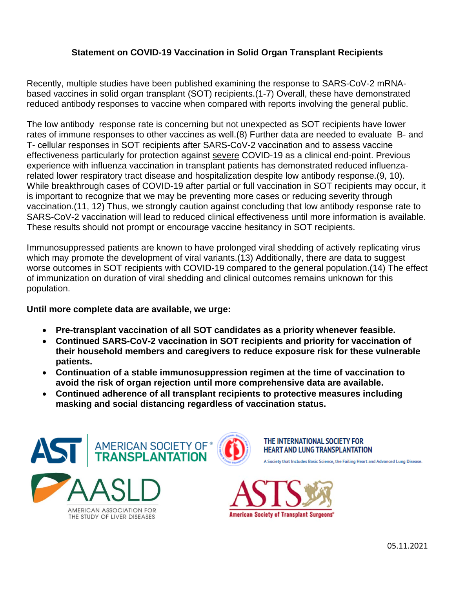## **Statement on COVID-19 Vaccination in Solid Organ Transplant Recipients**

Recently, multiple studies have been published examining the response to SARS-CoV-2 mRNAbased vaccines in solid organ transplant (SOT) recipients.(1-7) Overall, these have demonstrated reduced antibody responses to vaccine when compared with reports involving the general public.

The low antibody response rate is concerning but not unexpected as SOT recipients have lower rates of immune responses to other vaccines as well.(8) Further data are needed to evaluate B- and T- cellular responses in SOT recipients after SARS-CoV-2 vaccination and to assess vaccine effectiveness particularly for protection against severe COVID-19 as a clinical end-point. Previous experience with influenza vaccination in transplant patients has demonstrated reduced influenzarelated lower respiratory tract disease and hospitalization despite low antibody response.(9, 10). While breakthrough cases of COVID-19 after partial or full vaccination in SOT recipients may occur, it is important to recognize that we may be preventing more cases or reducing severity through vaccination.(11, 12) Thus, we strongly caution against concluding that low antibody response rate to SARS-CoV-2 vaccination will lead to reduced clinical effectiveness until more information is available. These results should not prompt or encourage vaccine hesitancy in SOT recipients.

Immunosuppressed patients are known to have prolonged viral shedding of actively replicating virus which may promote the development of viral variants.(13) Additionally, there are data to suggest worse outcomes in SOT recipients with COVID-19 compared to the general population.(14) The effect of immunization on duration of viral shedding and clinical outcomes remains unknown for this population.

## **Until more complete data are available, we urge:**

- **Pre-transplant vaccination of all SOT candidates as a priority whenever feasible.**
- **Continued SARS-CoV-2 vaccination in SOT recipients and priority for vaccination of their household members and caregivers to reduce exposure risk for these vulnerable patients.**
- **Continuation of a stable immunosuppression regimen at the time of vaccination to avoid the risk of organ rejection until more comprehensive data are available.**
- **Continued adherence of all transplant recipients to protective measures including masking and social distancing regardless of vaccination status.**



THE STUDY OF LIVER DISEASES



THE INTERNATIONAL SOCIETY FOR **HEART AND LUNG TRANSPLANTATION** 

A Society that Includes Basic Science, the Failing Heart and Advanced Lung Disease



05.11.2021